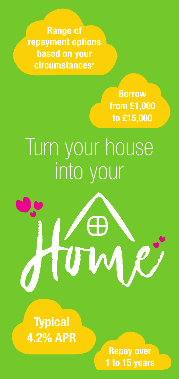**Range of repayment options based on your circumstances\***

> **Borrow from £1,000 to £15,000**

## Turn your house into your



**Typical 4.2% APR**

> **Repay over 1 to 15 years**